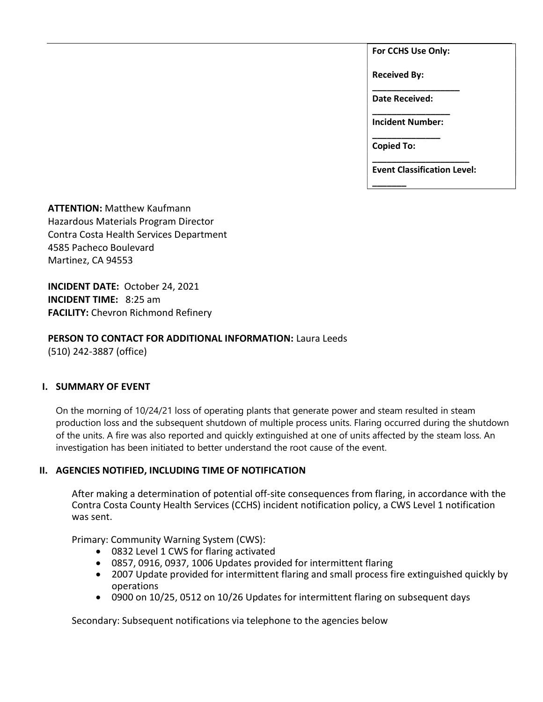For CCHS Use Only:

Received By:

Date Received:

\_\_\_\_\_\_\_\_\_\_\_\_\_\_\_\_\_\_

\_\_\_\_\_\_\_\_\_\_\_\_\_\_\_\_ Incident Number: \_\_\_\_\_\_\_\_\_\_\_\_\_\_

Copied To:

\_\_\_\_\_\_\_

\_\_\_\_\_\_\_\_\_\_\_\_\_\_\_\_\_\_\_\_ Event Classification Level:

ATTENTION: Matthew Kaufmann Hazardous Materials Program Director Contra Costa Health Services Department 4585 Pacheco Boulevard Martinez, CA 94553

INCIDENT DATE: October 24, 2021 INCIDENT TIME: 8:25 am FACILITY: Chevron Richmond Refinery

## PERSON TO CONTACT FOR ADDITIONAL INFORMATION: Laura Leeds (510) 242-3887 (office)

I. SUMMARY OF EVENT

On the morning of 10/24/21 loss of operating plants that generate power and steam resulted in steam production loss and the subsequent shutdown of multiple process units. Flaring occurred during the shutdown of the units. A fire was also reported and quickly extinguished at one of units affected by the steam loss. An investigation has been initiated to better understand the root cause of the event.

# II. AGENCIES NOTIFIED, INCLUDING TIME OF NOTIFICATION

After making a determination of potential off-site consequences from flaring, in accordance with the Contra Costa County Health Services (CCHS) incident notification policy, a CWS Level 1 notification was sent.

Primary: Community Warning System (CWS):

- 0832 Level 1 CWS for flaring activated
- 0857, 0916, 0937, 1006 Updates provided for intermittent flaring
- 2007 Update provided for intermittent flaring and small process fire extinguished quickly by operations
- 0900 on 10/25, 0512 on 10/26 Updates for intermittent flaring on subsequent days

Secondary: Subsequent notifications via telephone to the agencies below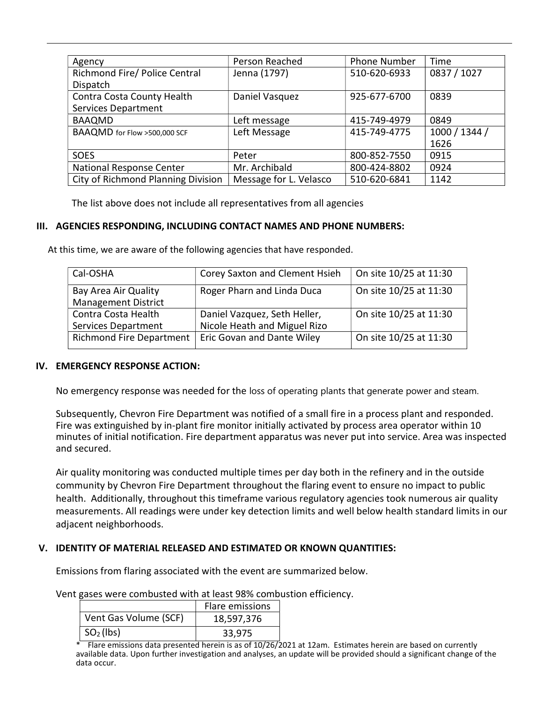| Agency                             | Person Reached         | <b>Phone Number</b> | Time          |
|------------------------------------|------------------------|---------------------|---------------|
| Richmond Fire/ Police Central      | Jenna (1797)           | 510-620-6933        | 0837 / 1027   |
| Dispatch                           |                        |                     |               |
| Contra Costa County Health         | Daniel Vasquez         | 925-677-6700        | 0839          |
| <b>Services Department</b>         |                        |                     |               |
| <b>BAAQMD</b>                      | Left message           | 415-749-4979        | 0849          |
| BAAQMD for Flow >500,000 SCF       | Left Message           | 415-749-4775        | 1000 / 1344 / |
|                                    |                        |                     | 1626          |
| <b>SOES</b>                        | Peter                  | 800-852-7550        | 0915          |
| National Response Center           | Mr. Archibald          | 800-424-8802        | 0924          |
| City of Richmond Planning Division | Message for L. Velasco | 510-620-6841        | 1142          |

The list above does not include all representatives from all agencies

#### III. AGENCIES RESPONDING, INCLUDING CONTACT NAMES AND PHONE NUMBERS:

At this time, we are aware of the following agencies that have responded.

| Corey Saxton and Clement Hsieh | On site 10/25 at 11:30 |
|--------------------------------|------------------------|
| Roger Pharn and Linda Duca     | On site 10/25 at 11:30 |
|                                |                        |
| Daniel Vazquez, Seth Heller,   | On site 10/25 at 11:30 |
| Nicole Heath and Miguel Rizo   |                        |
| Eric Govan and Dante Wiley     | On site 10/25 at 11:30 |
|                                |                        |

#### IV. EMERGENCY RESPONSE ACTION:

No emergency response was needed for the loss of operating plants that generate power and steam.

Subsequently, Chevron Fire Department was notified of a small fire in a process plant and responded. Fire was extinguished by in-plant fire monitor initially activated by process area operator within 10 minutes of initial notification. Fire department apparatus was never put into service. Area was inspected and secured.

Air quality monitoring was conducted multiple times per day both in the refinery and in the outside community by Chevron Fire Department throughout the flaring event to ensure no impact to public health. Additionally, throughout this timeframe various regulatory agencies took numerous air quality measurements. All readings were under key detection limits and well below health standard limits in our adjacent neighborhoods.

#### V. IDENTITY OF MATERIAL RELEASED AND ESTIMATED OR KNOWN QUANTITIES:

Emissions from flaring associated with the event are summarized below.

Vent gases were combusted with at least 98% combustion efficiency.

|                       | Flare emissions |  |
|-----------------------|-----------------|--|
| Vent Gas Volume (SCF) | 18,597,376      |  |
| $\mid SO2(\vert bs)$  | 33,975          |  |

 $*$  Flare emissions data presented herein is as of  $10/26/2021$  at 12am. Estimates herein are based on currently available data. Upon further investigation and analyses, an update will be provided should a significant change of the data occur.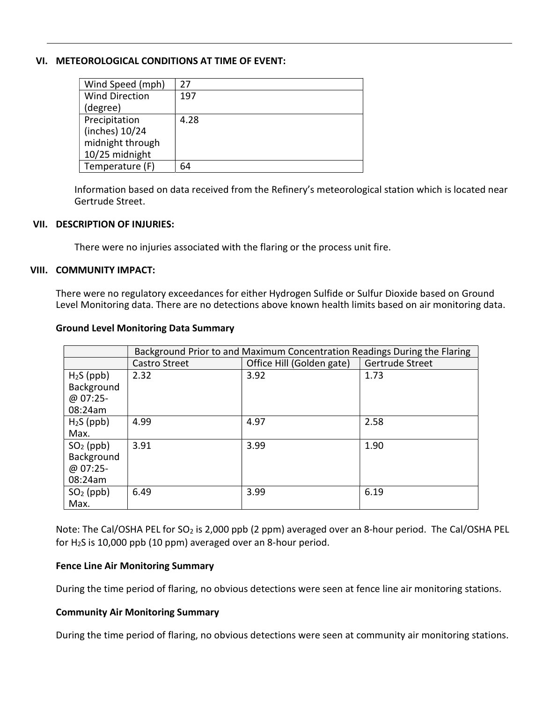### VI. METEOROLOGICAL CONDITIONS AT TIME OF EVENT:

| Wind Speed (mph)      | 27   |
|-----------------------|------|
| <b>Wind Direction</b> | 197  |
| (degree)              |      |
| Precipitation         | 4.28 |
| (inches) 10/24        |      |
| midnight through      |      |
| 10/25 midnight        |      |
| Temperature (F)       | 64   |

Information based on data received from the Refinery's meteorological station which is located near Gertrude Street.

#### VII. DESCRIPTION OF INJURIES:

There were no injuries associated with the flaring or the process unit fire.

#### VIII. COMMUNITY IMPACT:

There were no regulatory exceedances for either Hydrogen Sulfide or Sulfur Dioxide based on Ground Level Monitoring data. There are no detections above known health limits based on air monitoring data.

| <b>Ground Level Monitoring Data Summary</b> |  |
|---------------------------------------------|--|
|                                             |  |

|                                                  | Background Prior to and Maximum Concentration Readings During the Flaring |                           |                 |  |
|--------------------------------------------------|---------------------------------------------------------------------------|---------------------------|-----------------|--|
|                                                  | <b>Castro Street</b>                                                      | Office Hill (Golden gate) | Gertrude Street |  |
| $H2S$ (ppb)<br>Background<br>@ 07:25-<br>08:24am | 2.32                                                                      | 3.92                      | 1.73            |  |
| $H2S$ (ppb)<br>Max.                              | 4.99                                                                      | 4.97                      | 2.58            |  |
| $SO2$ (ppb)<br>Background<br>@ 07:25-<br>08:24am | 3.91                                                                      | 3.99                      | 1.90            |  |
| $SO2$ (ppb)<br>Max.                              | 6.49                                                                      | 3.99                      | 6.19            |  |

Note: The Cal/OSHA PEL for SO<sub>2</sub> is 2,000 ppb (2 ppm) averaged over an 8-hour period. The Cal/OSHA PEL for  $H<sub>2</sub>S$  is 10,000 ppb (10 ppm) averaged over an 8-hour period.

#### Fence Line Air Monitoring Summary

During the time period of flaring, no obvious detections were seen at fence line air monitoring stations.

#### Community Air Monitoring Summary

During the time period of flaring, no obvious detections were seen at community air monitoring stations.